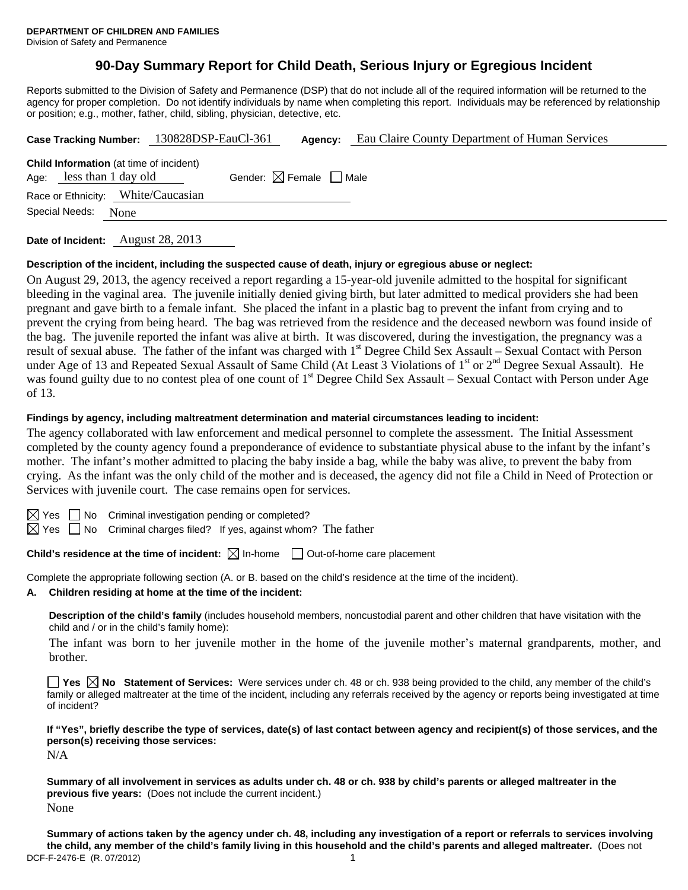# **90-Day Summary Report for Child Death, Serious Injury or Egregious Incident**

Reports submitted to the Division of Safety and Permanence (DSP) that do not include all of the required information will be returned to the agency for proper completion. Do not identify individuals by name when completing this report. Individuals may be referenced by relationship or position; e.g., mother, father, child, sibling, physician, detective, etc.

| Case Tracking Number: 130828DSP-EauCl-361                                  |  | Agency:                                | Eau Claire County Department of Human Services |  |
|----------------------------------------------------------------------------|--|----------------------------------------|------------------------------------------------|--|
| <b>Child Information</b> (at time of incident)<br>Age: less than 1 day old |  | Gender: $\boxtimes$ Female $\Box$ Male |                                                |  |
| Race or Ethnicity: White/Caucasian                                         |  |                                        |                                                |  |
| Special Needs:<br>None                                                     |  |                                        |                                                |  |
|                                                                            |  |                                        |                                                |  |

**Date of Incident:** August 28, 2013

#### **Description of the incident, including the suspected cause of death, injury or egregious abuse or neglect:**

On August 29, 2013, the agency received a report regarding a 15-year-old juvenile admitted to the hospital for significant bleeding in the vaginal area. The juvenile initially denied giving birth, but later admitted to medical providers she had been pregnant and gave birth to a female infant. She placed the infant in a plastic bag to prevent the infant from crying and to prevent the crying from being heard. The bag was retrieved from the residence and the deceased newborn was found inside of the bag. The juvenile reported the infant was alive at birth. It was discovered, during the investigation, the pregnancy was a result of sexual abuse. The father of the infant was charged with 1<sup>st</sup> Degree Child Sex Assault – Sexual Contact with Person under Age of 13 and Repeated Sexual Assault of Same Child (At Least 3 Violations of 1<sup>st</sup> or 2<sup>nd</sup> Degree Sexual Assault). He was found guilty due to no contest plea of one count of 1<sup>st</sup> Degree Child Sex Assault – Sexual Contact with Person under Age of 13.

#### **Findings by agency, including maltreatment determination and material circumstances leading to incident:**

The agency collaborated with law enforcement and medical personnel to complete the assessment. The Initial Assessment completed by the county agency found a preponderance of evidence to substantiate physical abuse to the infant by the infant's mother. The infant's mother admitted to placing the baby inside a bag, while the baby was alive, to prevent the baby from crying. As the infant was the only child of the mother and is deceased, the agency did not file a Child in Need of Protection or Services with juvenile court. The case remains open for services.

 $\Box$  No Criminal investigation pending or completed?

 $\boxtimes$  Yes  $\Box$  No Criminal charges filed? If yes, against whom? The father

## **Child's residence at the time of incident:**  $\boxtimes$  In-home  $\Box$  Out-of-home care placement

Complete the appropriate following section (A. or B. based on the child's residence at the time of the incident).

**A. Children residing at home at the time of the incident:**

**Description of the child's family** (includes household members, noncustodial parent and other children that have visitation with the child and / or in the child's family home):

 The infant was born to her juvenile mother in the home of the juvenile mother's maternal grandparents, mother, and brother.

**Yes No Statement of Services:** Were services under ch. 48 or ch. 938 being provided to the child, any member of the child's family or alleged maltreater at the time of the incident, including any referrals received by the agency or reports being investigated at time of incident?

**If "Yes", briefly describe the type of services, date(s) of last contact between agency and recipient(s) of those services, and the person(s) receiving those services:** 

N/A

**Summary of all involvement in services as adults under ch. 48 or ch. 938 by child's parents or alleged maltreater in the previous five years:** (Does not include the current incident.) None

DCF-F-2476-E (R. 07/2012) 1 **Summary of actions taken by the agency under ch. 48, including any investigation of a report or referrals to services involving the child, any member of the child's family living in this household and the child's parents and alleged maltreater.** (Does not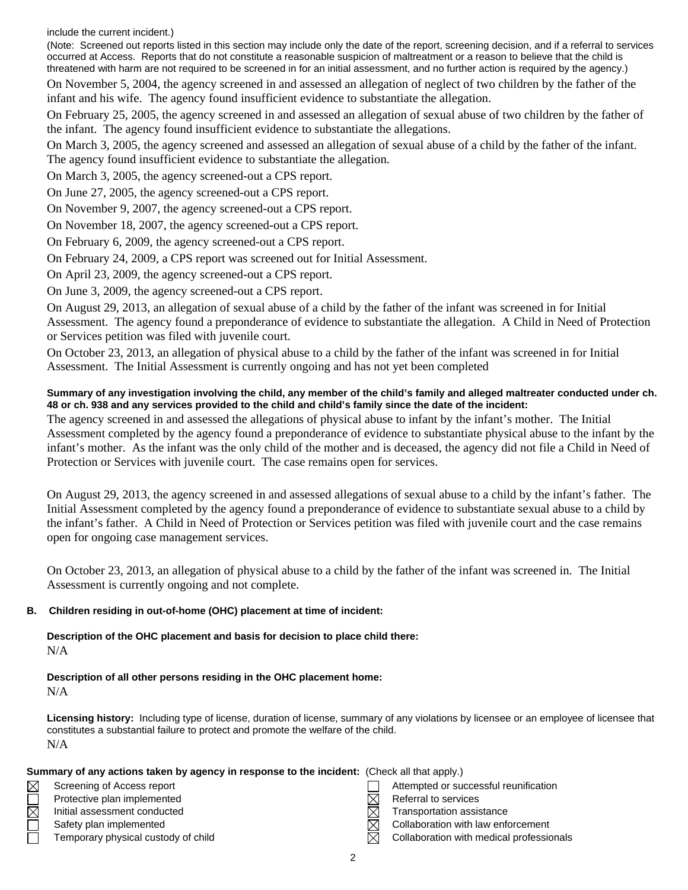include the current incident.)

(Note: Screened out reports listed in this section may include only the date of the report, screening decision, and if a referral to services occurred at Access. Reports that do not constitute a reasonable suspicion of maltreatment or a reason to believe that the child is threatened with harm are not required to be screened in for an initial assessment, and no further action is required by the agency.) On November 5, 2004, the agency screened in and assessed an allegation of neglect of two children by the father of the infant and his wife. The agency found insufficient evidence to substantiate the allegation.

On February 25, 2005, the agency screened in and assessed an allegation of sexual abuse of two children by the father of the infant. The agency found insufficient evidence to substantiate the allegations.

On March 3, 2005, the agency screened and assessed an allegation of sexual abuse of a child by the father of the infant. The agency found insufficient evidence to substantiate the allegation.

On March 3, 2005, the agency screened-out a CPS report.

On June 27, 2005, the agency screened-out a CPS report.

On November 9, 2007, the agency screened-out a CPS report.

On November 18, 2007, the agency screened-out a CPS report.

On February 6, 2009, the agency screened-out a CPS report.

On February 24, 2009, a CPS report was screened out for Initial Assessment.

On April 23, 2009, the agency screened-out a CPS report.

On June 3, 2009, the agency screened-out a CPS report.

On August 29, 2013, an allegation of sexual abuse of a child by the father of the infant was screened in for Initial Assessment. The agency found a preponderance of evidence to substantiate the allegation. A Child in Need of Protection or Services petition was filed with juvenile court.

On October 23, 2013, an allegation of physical abuse to a child by the father of the infant was screened in for Initial Assessment. The Initial Assessment is currently ongoing and has not yet been completed

### **Summary of any investigation involving the child, any member of the child's family and alleged maltreater conducted under ch. 48 or ch. 938 and any services provided to the child and child's family since the date of the incident:**

The agency screened in and assessed the allegations of physical abuse to infant by the infant's mother. The Initial Assessment completed by the agency found a preponderance of evidence to substantiate physical abuse to the infant by the infant's mother. As the infant was the only child of the mother and is deceased, the agency did not file a Child in Need of Protection or Services with juvenile court. The case remains open for services.

On August 29, 2013, the agency screened in and assessed allegations of sexual abuse to a child by the infant's father. The Initial Assessment completed by the agency found a preponderance of evidence to substantiate sexual abuse to a child by the infant's father. A Child in Need of Protection or Services petition was filed with juvenile court and the case remains open for ongoing case management services.

On October 23, 2013, an allegation of physical abuse to a child by the father of the infant was screened in. The Initial Assessment is currently ongoing and not complete.

#### **B. Children residing in out-of-home (OHC) placement at time of incident:**

**Description of the OHC placement and basis for decision to place child there:** N/A

# **Description of all other persons residing in the OHC placement home:**

N/A

**Licensing history:** Including type of license, duration of license, summary of any violations by licensee or an employee of licensee that constitutes a substantial failure to protect and promote the welfare of the child. N/A

| Summary of any actions taken by agency in response to the incident: (Check all that apply.) |  |
|---------------------------------------------------------------------------------------------|--|
|---------------------------------------------------------------------------------------------|--|

| Screening of Access report          |   | Attempted or successful reunification    |
|-------------------------------------|---|------------------------------------------|
| Protective plan implemented         | M | Referral to services                     |
| Initial assessment conducted        | M | Transportation assistance                |
| Safety plan implemented             | M | Collaboration with law enforcement       |
| Temporary physical custody of child | M | Collaboration with medical professionals |
|                                     |   |                                          |